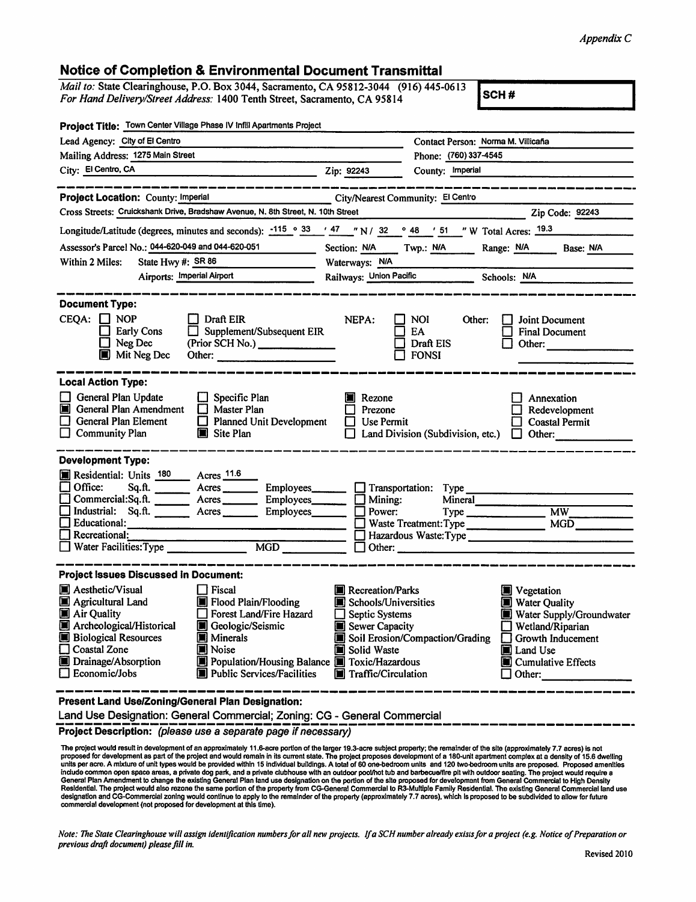## Appendix C

|                                                                                                                                                                    |                                                                                                                                                                                                                                                                                | <b>Notice of Completion &amp; Environmental Document Transmittal</b> |                                                                                                                                                                                                                                                                                     |
|--------------------------------------------------------------------------------------------------------------------------------------------------------------------|--------------------------------------------------------------------------------------------------------------------------------------------------------------------------------------------------------------------------------------------------------------------------------|----------------------------------------------------------------------|-------------------------------------------------------------------------------------------------------------------------------------------------------------------------------------------------------------------------------------------------------------------------------------|
| Mail to: State Clearinghouse, P.O. Box 3044, Sacramento, CA 95812-3044 (916) 445-0613<br>For Hand Delivery/Street Address: 1400 Tenth Street, Sacramento, CA 95814 |                                                                                                                                                                                                                                                                                |                                                                      | SCH#                                                                                                                                                                                                                                                                                |
| Project Title: Town Center Village Phase IV Infill Apartments Project                                                                                              |                                                                                                                                                                                                                                                                                |                                                                      |                                                                                                                                                                                                                                                                                     |
| Lead Agency: City of El Centro                                                                                                                                     |                                                                                                                                                                                                                                                                                | Contact Person: Norma M. Villicaña                                   |                                                                                                                                                                                                                                                                                     |
| Mailing Address: 1275 Main Street                                                                                                                                  |                                                                                                                                                                                                                                                                                | Phone: (760) 337-4545                                                |                                                                                                                                                                                                                                                                                     |
| City: El Centro, CA                                                                                                                                                |                                                                                                                                                                                                                                                                                | Zip: 92243<br>County: Imperial                                       |                                                                                                                                                                                                                                                                                     |
| Project Location: County: Imperial                                                                                                                                 |                                                                                                                                                                                                                                                                                | City/Nearest Community: El Centro                                    |                                                                                                                                                                                                                                                                                     |
| Cross Streets: Cruickshank Drive, Bradshaw Avenue, N. 8th Street, N. 10th Street                                                                                   |                                                                                                                                                                                                                                                                                |                                                                      | Zip Code: 92243                                                                                                                                                                                                                                                                     |
| Longitude/Latitude (degrees, minutes and seconds): $\frac{-115}{9}$ $\frac{33}{15}$ / $\frac{47}{15}$ / 32 $\degree$ 48 / 51 / W Total Acres: 19.3                 |                                                                                                                                                                                                                                                                                |                                                                      |                                                                                                                                                                                                                                                                                     |
| Assessor's Parcel No.: 044-620-049 and 044-620-051                                                                                                                 | <b>Contract Contract Contract</b>                                                                                                                                                                                                                                              | Section: N/A Twp.: N/A Range: N/A Base: N/A                          |                                                                                                                                                                                                                                                                                     |
| Within 2 Miles:<br>State Hwy #: SR 86                                                                                                                              |                                                                                                                                                                                                                                                                                | Waterways: N/A                                                       |                                                                                                                                                                                                                                                                                     |
| Airports: Imperial Airport                                                                                                                                         |                                                                                                                                                                                                                                                                                | Railways: Union Pacific Schools: N/A                                 |                                                                                                                                                                                                                                                                                     |
|                                                                                                                                                                    |                                                                                                                                                                                                                                                                                |                                                                      |                                                                                                                                                                                                                                                                                     |
| $CEQA: \Box NP$<br>$\Box$ Draft EIR<br><b>Early Cons</b><br>$\Box$<br>$\Box$ Neg Dec<br><b>Mit Neg Dec</b>                                                         | Supplement/Subsequent EIR<br>(Prior SCH No.)<br>Other: and the contract of the contract of the contract of the contract of the contract of the contract of the contract of the contract of the contract of the contract of the contract of the contract of the contract of the | NEPA:<br>NOI.<br>EA.<br>Draft EIS<br>$\Box$ fonsi                    | Other:<br>Joint Document<br><b>Final Document</b><br>Other: The Contract of the Contract of the Contract of the Contract of the Contract of the Contract of the Contract of the Contract of the Contract of the Contract of the Contract of the Contract of the Contract of the Con |
| <b>Local Action Type:</b>                                                                                                                                          |                                                                                                                                                                                                                                                                                |                                                                      |                                                                                                                                                                                                                                                                                     |
| General Plan Update<br>Specific Plan<br>General Plan Amendment<br>$\Box$ Master Plan                                                                               |                                                                                                                                                                                                                                                                                | Rezone<br>Annexation<br>Prezone<br>Redevelopment                     |                                                                                                                                                                                                                                                                                     |
| General Plan Element                                                                                                                                               | $\Box$ Planned Unit Development                                                                                                                                                                                                                                                | <b>Use Permit</b>                                                    | <b>Coastal Permit</b>                                                                                                                                                                                                                                                               |
| $\Box$ Community Plan<br>Site Plan                                                                                                                                 |                                                                                                                                                                                                                                                                                | Land Division (Subdivision, etc.)                                    | Other:<br>$\perp$                                                                                                                                                                                                                                                                   |
| <b>Development Type:</b>                                                                                                                                           |                                                                                                                                                                                                                                                                                |                                                                      |                                                                                                                                                                                                                                                                                     |
| Residential: Units 180 Acres 11.6                                                                                                                                  |                                                                                                                                                                                                                                                                                |                                                                      |                                                                                                                                                                                                                                                                                     |
| Office:<br>Sq.f.                                                                                                                                                   |                                                                                                                                                                                                                                                                                | $\Box$ Transportation:<br>Type                                       |                                                                                                                                                                                                                                                                                     |
| Commercial:Sq.ft.                                                                                                                                                  | Acres Employees                                                                                                                                                                                                                                                                | Mineral<br>Mining:<br>IJ                                             |                                                                                                                                                                                                                                                                                     |
| Industrial: Sq.ft. _______ Acres ________ Employees_______<br>$\Box$ Educational:                                                                                  |                                                                                                                                                                                                                                                                                | Power:                                                               | MW<br>Type                                                                                                                                                                                                                                                                          |
| Recreational:                                                                                                                                                      |                                                                                                                                                                                                                                                                                | MGD<br>Hazardous Waste: Type                                         |                                                                                                                                                                                                                                                                                     |
| $\Box$<br>Water Facilities: Type<br>MGD                                                                                                                            |                                                                                                                                                                                                                                                                                | Other:                                                               |                                                                                                                                                                                                                                                                                     |
|                                                                                                                                                                    |                                                                                                                                                                                                                                                                                |                                                                      |                                                                                                                                                                                                                                                                                     |
| Project issues Discussed in Document:                                                                                                                              |                                                                                                                                                                                                                                                                                |                                                                      |                                                                                                                                                                                                                                                                                     |
| Aesthetic/Visual<br>Fiscal<br>Agricultural Land                                                                                                                    |                                                                                                                                                                                                                                                                                | <b>Necreation/Parks</b>                                              | Vegetation                                                                                                                                                                                                                                                                          |
| Air Quality                                                                                                                                                        | Flood Plain/Flooding<br>Forest Land/Fire Hazard                                                                                                                                                                                                                                | Schools/Universities<br>Septic Systems                               | <b>Water Quality</b>                                                                                                                                                                                                                                                                |
| Archeological/Historical                                                                                                                                           | Geologic/Seismic                                                                                                                                                                                                                                                               | Sewer Capacity                                                       | Water Supply/Groundwater<br>Wetland/Riparian                                                                                                                                                                                                                                        |
| <b>Biological Resources</b><br>П                                                                                                                                   | Minerals                                                                                                                                                                                                                                                                       | Soil Erosion/Compaction/Grading                                      | Growth Inducement                                                                                                                                                                                                                                                                   |
| Coastal Zone<br>III Noise                                                                                                                                          |                                                                                                                                                                                                                                                                                | Solid Waste                                                          | Land Use                                                                                                                                                                                                                                                                            |
|                                                                                                                                                                    |                                                                                                                                                                                                                                                                                | Population/Housing Balance I Toxic/Hazardous                         | Cumulative Effects                                                                                                                                                                                                                                                                  |
| Drainage/Absorption<br>Economic/Jobs                                                                                                                               | Public Services/Facilities                                                                                                                                                                                                                                                     | Traffic/Circulation                                                  | Other:                                                                                                                                                                                                                                                                              |

Project Description: (please use a separate page if necessary)

The project would result in development of an approximately 11.6-acre portion of the larger 19.3-acre subject property; the remainder of the site (approximately 7.7 acres) is not<br>proposed for development as part of the pro

Note: The State Clearinghouse will assign identification numbers for all new projects. If a SCH number already exists for a project (e.g. Notice of Preparation or previous draft document) please fill in.